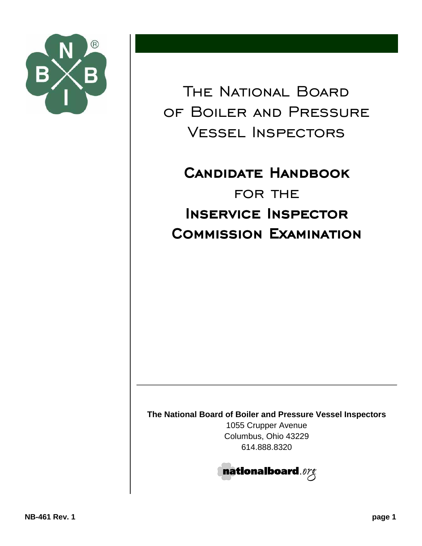

The National Board of Boiler and Pressure Vessel Inspectors

**CANDIDATE HANDBOOK** for the **INSERVICE INSPECTOR COMMISSION EXAMINATION** 

**The National Board of Boiler and Pressure Vessel Inspectors**

1055 Crupper Avenue Columbus, Ohio 43229 614.888.8320

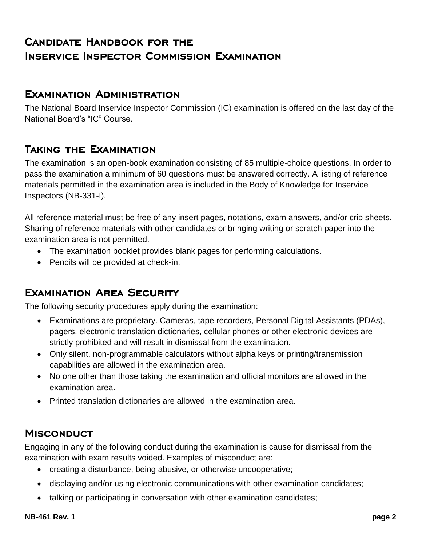# **CANDIDATE HANDBOOK FOR THE INSERVICE INSPECTOR COMMISSION EXAMINATION**

#### **EXAMINATION ADMINISTRATION**

The National Board Inservice Inspector Commission (IC) examination is offered on the last day of the National Board's "IC" Course.

### **TAKING THE EXAMINATION**

The examination is an open-book examination consisting of 85 multiple-choice questions. In order to pass the examination a minimum of 60 questions must be answered correctly. A listing of reference materials permitted in the examination area is included in the Body of Knowledge for Inservice Inspectors (NB-331-I).

All reference material must be free of any insert pages, notations, exam answers, and/or crib sheets. Sharing of reference materials with other candidates or bringing writing or scratch paper into the examination area is not permitted.

- The examination booklet provides blank pages for performing calculations.
- Pencils will be provided at check-in.

## **EXAMINATION AREA SECURITY**

The following security procedures apply during the examination:

- Examinations are proprietary. Cameras, tape recorders, Personal Digital Assistants (PDAs), pagers, electronic translation dictionaries, cellular phones or other electronic devices are strictly prohibited and will result in dismissal from the examination.
- Only silent, non-programmable calculators without alpha keys or printing/transmission capabilities are allowed in the examination area.
- No one other than those taking the examination and official monitors are allowed in the examination area.
- Printed translation dictionaries are allowed in the examination area.

#### **MISCONDUCT**

Engaging in any of the following conduct during the examination is cause for dismissal from the examination with exam results voided. Examples of misconduct are:

- creating a disturbance, being abusive, or otherwise uncooperative;
- displaying and/or using electronic communications with other examination candidates;
- talking or participating in conversation with other examination candidates;